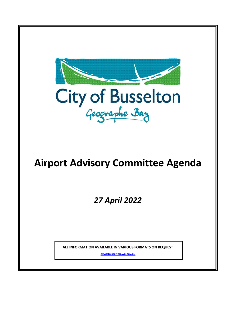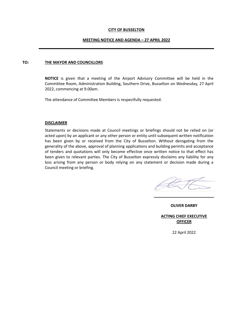#### **CITY OF BUSSELTON**

#### **MEETING NOTICE AND AGENDA – 27 APRIL 2022**

#### **TO: THE MAYOR AND COUNCILLORS**

**NOTICE** is given that a meeting of the Airport Advisory Committee will be held in the Committee Room, Administration Building, Southern Drive, Busselton on Wednesday, 27 April 2022, commencing at 9.00am.

The attendance of Committee Members is respectfully requested.

#### **DISCLAIMER**

Statements or decisions made at Council meetings or briefings should not be relied on (or acted upon) by an applicant or any other person or entity until subsequent written notification has been given by or received from the City of Busselton. Without derogating from the generality of the above, approval of planning applications and building permits and acceptance of tenders and quotations will only become effective once written notice to that effect has been given to relevant parties. The City of Busselton expressly disclaims any liability for any loss arising from any person or body relying on any statement or decision made during a Council meeting or briefing.

**OLIVER DARBY**

**ACTING CHIEF EXECUTIVE OFFICER**

22 April 2022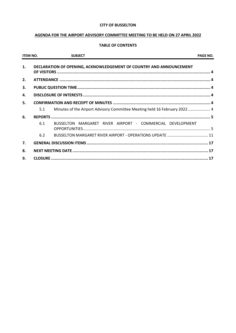### **CITY OF BUSSELTON**

## AGENDA FOR THE AIRPORT ADVISORY COMMITTEE MEETING TO BE HELD ON 27 APRIL 2022

## **TABLE OF CONTENTS**

| <b>ITEM NO.</b> |     | <b>SUBJECT</b>                                                             | <b>PAGE NO.</b> |
|-----------------|-----|----------------------------------------------------------------------------|-----------------|
| 1.              |     | DECLARATION OF OPENING, ACKNOWLEDGEMENT OF COUNTRY AND ANNOUNCEMENT        |                 |
| 2.              |     |                                                                            |                 |
| 3.              |     |                                                                            |                 |
| 4.              |     |                                                                            |                 |
| 5.              |     |                                                                            |                 |
|                 | 5.1 | Minutes of the Airport Advisory Committee Meeting held 16 February 2022  4 |                 |
| 6.              |     |                                                                            |                 |
|                 | 6.1 | BUSSELTON MARGARET RIVER AIRPORT - COMMERCIAL DEVELOPMENT                  |                 |
|                 | 6.2 |                                                                            |                 |
| 7.              |     |                                                                            |                 |
| 8.              |     |                                                                            |                 |
| 9.              |     |                                                                            |                 |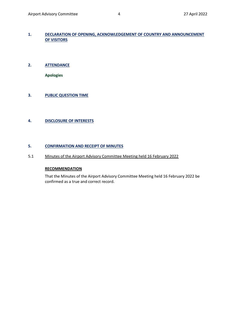## <span id="page-3-0"></span>**1. DECLARATION OF OPENING, ACKNOWLEDGEMENT OF COUNTRY AND ANNOUNCEMENT OF VISITORS**

## <span id="page-3-1"></span>**2. ATTENDANCE**

**Apologies**

# <span id="page-3-2"></span>**3. PUBLIC QUESTION TIME**

## <span id="page-3-3"></span>**4. DISCLOSURE OF INTERESTS**

## <span id="page-3-4"></span>**5. CONFIRMATION AND RECEIPT OF MINUTES**

## <span id="page-3-5"></span>5.1 Minutes of the Airport Advisory Committee Meeting held 16 February 2022

### **RECOMMENDATION**

That the Minutes of the Airport Advisory Committee Meeting held 16 February 2022 be confirmed as a true and correct record.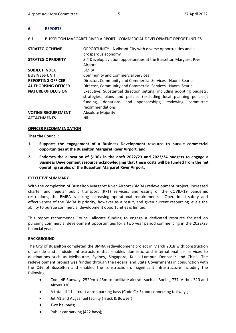### <span id="page-4-0"></span>**6. REPORTS**

#### <span id="page-4-1"></span>6.1 BUSSELTON MARGARET RIVER AIRPORT - COMMERCIAL DEVELOPMENT OPPORTUNITIES

| <b>STRATEGIC THEME</b>                          | OPPORTUNITY - A vibrant City with diverse opportunities and a<br>prosperous economy                                                                                                                                                  |
|-------------------------------------------------|--------------------------------------------------------------------------------------------------------------------------------------------------------------------------------------------------------------------------------------|
| <b>STRATEGIC PRIORITY</b>                       | 3.4 Develop aviation opportunities at the Busselton Margaret River<br>Airport.                                                                                                                                                       |
| <b>SUBJECT INDEX</b>                            | <b>BMRA</b>                                                                                                                                                                                                                          |
| <b>BUSINESS UNIT</b>                            | <b>Community and Commercial Services</b>                                                                                                                                                                                             |
| <b>REPORTING OFFICER</b>                        | Director, Community and Commercial Services - Naomi Searle                                                                                                                                                                           |
| <b>AUTHORISING OFFICER</b>                      | Director, Community and Commercial Services - Naomi Searle                                                                                                                                                                           |
| <b>NATURE OF DECISION</b>                       | Executive: Substantial direction setting, including adopting budgets,<br>strategies, plans and policies (excluding local planning policies);<br>and sponsorships; reviewing<br>funding,<br>donations<br>committee<br>recommendations |
| <b>VOTING REQUIREMENT</b><br><b>ATTACHMENTS</b> | <b>Absolute Majority</b><br>Nil                                                                                                                                                                                                      |

#### **OFFICER RECOMMENDATION**

**That the Council:**

- **1. Supports the engagement of a Business Development resource to pursue commercial opportunities at the Busselton Margaret River Airport, and**
- **2. Endorses the allocation of \$130k in the draft 2022/23 and 2023/24 budgets to engage a Business Development resource acknowledging that these costs will be funded from the net operating surplus of the Busselton Margaret River Airport.**

### **EXECUTIVE SUMMARY**

With the completion of Busselton Margaret River Airport (BMRA) redevelopment project, increased charter and regular public transport (RPT) services, and easing of the COVID-19 pandemic restrictions, the BMRA is facing increasing operational requirements. Operational safety and effectiveness of the BMRA is priority, however as a result, and given current resourcing levels the ability to pursue commercial development opportunities is limited.

This report recommends Council allocate funding to engage a dedicated resource focused on pursuing commercial development opportunities for a two year period commencing in the 2022/23 financial year.

### **BACKGROUND**

The City of Busselton completed the BMRA redevelopment project in March 2018 with construction of airside and landside infrastructure that enables domestic and international air services to destinations such as Melbourne, Sydney, Singapore, Kuala Lumpur, Denpasar and China. The redevelopment project was funded through the Federal and State Governments in conjunction with the City of Busselton and enabled the construction of significant infrastructure including the following:

- Code 4E Runway: 2520m x 45m to facilitate aircraft such as Boeing 737, Airbus 320 and Airbus 330;
- A total of 11 aircraft apron parking bays (Code C / E) and connecting taxiways;
- Jet A1 and Avgas fuel facility (Truck & Bowser);
- Two helipads;
- Public car parking (422 bays);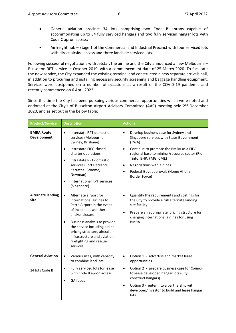- General aviation precinct 34 lots comprising two Code B aprons capable of accommodating up to 34 fully serviced hangars and two fully serviced hangar lots with Code C apron access;
- Airfreight hub Stage 1 of the Commercial and Industrial Precinct with four serviced lots with direct airside access and three landside serviced lots.

Following successful negotiations with Jetstar, the airline and the City announced a new Melbourne – Busselton RPT service in October 2019, with a commencement date of 25 March 2020. To facilitate the new service, the City expanded the existing terminal and constructed a new separate arrivals hall, in addition to procuring and installing necessary security screening and baggage handling equipment. Services were postponed on a number of occasions as a result of the COVID-19 pandemic and recently commenced on 6 April 2022.

Since this time the City has been pursuing various commercial opportunities which were noted and endorsed at the City's of Busselton Airport Advisory Committee (AAC) meeting held 2<sup>nd</sup> December 2020, and as set out in the below table:

| <b>Product/Service</b>                    | <b>Description</b>                                                                                                                                                                                                                                                                                                         | <b>Actions</b>                                                                                                                                                                                                                                                                                                                                            |
|-------------------------------------------|----------------------------------------------------------------------------------------------------------------------------------------------------------------------------------------------------------------------------------------------------------------------------------------------------------------------------|-----------------------------------------------------------------------------------------------------------------------------------------------------------------------------------------------------------------------------------------------------------------------------------------------------------------------------------------------------------|
| <b>BMRA Route</b><br>Development          | Interstate RPT domestic<br>$\bullet$<br>services (Melbourne,<br>Sydney, Brisbane)<br>Intrastate FIFO closed<br>$\bullet$<br>charter operations<br>Intrastate RPT domestic<br>$\bullet$<br>services (Port Hedland,<br>Karratha, Broome,<br>Newman)<br><b>International RPT services</b><br>$\bullet$<br>(Singapore)         | Develop business case for Sydney and<br>$\bullet$<br>Singapore services with State Government<br>(TWA)<br>Continue to promote the BMRA as a FIFO<br>$\bullet$<br>regional base to mining /resource sector (Rio<br>Tinto, BHP, FMG, CME)<br>Negotiations with airlines<br>$\bullet$<br>Federal Govt approvals (Home Affairs,<br>$\bullet$<br>Border Force) |
| <b>Alternate landing</b><br><b>Site</b>   | Alternate airport for<br>$\bullet$<br>international airlines to<br>Perth Airport in the event<br>of inclement weather<br>and/or closure<br>Business analysis to provide<br>$\bullet$<br>the service including airline<br>pricing structure, aircraft<br>infrastructure and aviation<br>firefighting and rescue<br>services | Quantify the requirements and costings for<br>$\bullet$<br>the City to provide a full alternate landing<br>site facility<br>Prepare an appropriate pricing structure for<br>$\bullet$<br>charging international airlines for using<br><b>BMRA</b>                                                                                                         |
| <b>General Aviation</b><br>34 lots Code B | Various sizes, with capacity<br>$\bullet$<br>to combine land lots<br>Fully serviced lots for lease<br>$\bullet$<br>with Code B apron access.<br>GA focus                                                                                                                                                                   | Option 1 - advertise and market lease<br>$\bullet$<br>opportunities<br>Option 2 - prepare business case for Council<br>$\bullet$<br>to lease developed hangar lots (City<br>construct hangars)<br>Option 3 - enter into a partnership with<br>$\bullet$                                                                                                   |
|                                           |                                                                                                                                                                                                                                                                                                                            | developer/investor to build and lease hangar<br>lots                                                                                                                                                                                                                                                                                                      |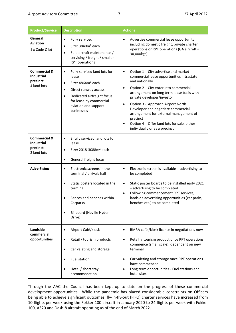| <b>Product/Service</b>                                                  | <b>Description</b>                                                                                                                                                                                                                                | <b>Actions</b>                                                                                                                                                                                                                                                                                                                                                                                                                                                                               |
|-------------------------------------------------------------------------|---------------------------------------------------------------------------------------------------------------------------------------------------------------------------------------------------------------------------------------------------|----------------------------------------------------------------------------------------------------------------------------------------------------------------------------------------------------------------------------------------------------------------------------------------------------------------------------------------------------------------------------------------------------------------------------------------------------------------------------------------------|
| General<br><b>Aviation</b><br>1 x Code C lot                            | Fully serviced<br>$\bullet$<br>Size: 3840m <sup>2</sup> each<br>Suit aircraft maintenance /<br>$\bullet$<br>servicing / freight / smaller<br><b>RPT</b> operations                                                                                | Advertise commercial lease opportunity,<br>including domestic freight, private charter<br>operations or RPT operations (GA aircraft <<br>30,000kgs)                                                                                                                                                                                                                                                                                                                                          |
| <b>Commercial &amp;</b><br><b>Industrial</b><br>precinct<br>4 land lots | Fully serviced land lots for<br>$\bullet$<br>lease<br>Size: 4864m <sup>2</sup> each<br>$\bullet$<br>Direct runway access<br>$\bullet$<br>Dedicated airfreight focus<br>$\bullet$<br>for lease by commercial<br>aviation and support<br>businesses | Option 1 - City advertise and market<br>$\bullet$<br>commercial lease opportunities intrastate<br>and nationally<br>Option 2 - City enter into commercial<br>$\bullet$<br>arrangement on long term lease basis with<br>private developer/investor<br>Option 3 - Approach Airport North<br>$\bullet$<br>Developer and negotiate commercial<br>arrangement for external management of<br>precinct<br>Option 4 - Offer land lots for sale, either<br>$\bullet$<br>individually or as a precinct |
| <b>Commercial &amp;</b><br><b>Industrial</b><br>precinct<br>3 land lots | 3 fully serviced land lots for<br>٠<br>lease<br>Size: 2018-3088m <sup>2</sup> each<br>$\bullet$<br>General freight focus<br>$\bullet$                                                                                                             |                                                                                                                                                                                                                                                                                                                                                                                                                                                                                              |
| <b>Advertising</b>                                                      | Electronic screens in the<br>$\bullet$<br>terminal / arrivals hall<br>Static posters located in the<br>terminal<br>Fences and benches within<br>Carparks<br><b>Billboard (Neville Hyder</b><br>$\bullet$<br>Drive)                                | Electronic screen is available - advertising to<br>$\bullet$<br>be completed<br>Static poster boards to be installed early 2021<br>$\bullet$<br>- advertising to be completed<br>Following commencement RPT services,<br>$\bullet$<br>landside advertising opportunities (car parks,<br>benches etc.) to be completed                                                                                                                                                                        |
| Landside<br>commercial<br>opportunities                                 | Airport Café/kiosk<br>$\bullet$<br>Retail / tourism products<br>Car valeting and storage<br>$\bullet$<br>Fuel station<br>Hotel / short stay<br>accommodation                                                                                      | BMRA café /kiosk license in negotiations now<br>$\bullet$<br>Retail / tourism product once RPT operations<br>$\bullet$<br>commence (small scale), dependent on new<br>terminal<br>Car valeting and storage once RPT operations<br>٠<br>have commenced<br>Long term opportunities - Fuel stations and<br>hotel sites                                                                                                                                                                          |

Through the AAC the Council has been kept up to date on the progress of these commercial development opportunities. While the pandemic has placed considerable constraints on Officers being able to achieve significant outcomes, fly-in-fly-out (FIFO) charter services have increased from 10 flights per week using the Fokker 100 aircraft in January 2020 to 24 flights per week with Fokker 100, A320 and Dash-8 aircraft operating as of the end of March 2022.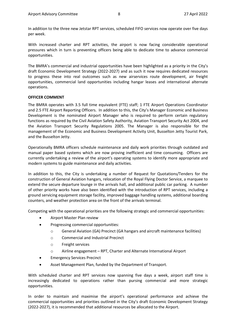In addition to the three new Jetstar RPT services, scheduled FIFO services now operate over five days per week.

With increased charter and RPT activities, the airport is now facing considerable operational pressures which in turn is preventing officers being able to dedicate time to advance commercial opportunities.

The BMRA's commercial and industrial opportunities have been highlighted as a priority in the City's draft Economic Development Strategy (2022-2027) and as such it now requires dedicated resources to progress these into real outcomes such as new airservices route development, air freight opportunities, commercial land opportunities including hangar leases and international alternate operations.

#### **OFFICER COMMENT**

The BMRA operates with 3.5 full time equivalent (FTE) staff; 1 FTE Airport Operations Coordinator and 2.5 FTE Airport Reporting Officers. In addition to this, the City's Manager Economic and Business Development is the nominated Airport Manager who is required to perform certain regulatory functions as required by the Civil Aviation Safety Authority, Aviation Transport Security Act 2004, and the Aviation Transport Security Regulations 2005. The Manager is also responsible for the management of the Economic and Business Development Activity Unit, Busselton Jetty Tourist Park, and the Busselton Jetty.

Operationally BMRA officers schedule maintenance and daily work priorities through outdated and manual paper based systems which are now proving inefficient and time consuming. Officers are currently undertaking a review of the airport's operating systems to identify more appropriate and modern systems to guide maintenance and daily activities.

In addition to this, the City is undertaking a number of Request for Quotations/Tenders for the construction of General Aviation hangars, relocation of the Royal Flying Doctor Service, a marquee to extend the secure departure lounge in the arrivals hall, and additional public car parking. A number of other priority works have also been identified with the introduction of RPT services, including a ground servicing equipment storage facility, improved baggage handling systems, additional boarding counters, and weather protection area on the front of the arrivals terminal.

Competing with the operational priorities are the following strategic and commercial opportunities:

- Airport Master Plan review
- Progressing commercial opportunities:
	- o General Aviation (GA) Precinct (GA hangars and aircraft maintenance facilities)
	- o Commercial and Industrial Precinct
	- o Freight services
	- o Airline engagement RPT, Charter and Alternate International Airport
- Emergency Services Precinct
- Asset Management Plan, funded by the Department of Transport.

With scheduled charter and RPT services now spanning five days a week, airport staff time is increasingly dedicated to operations rather than pursing commercial and more strategic opportunities.

In order to maintain and maximise the airport's operational performance and achieve the commercial opportunities and priorities outlined in the City's draft Economic Development Strategy (2022-2027), it is recommended that additional resources be allocated to the Airport.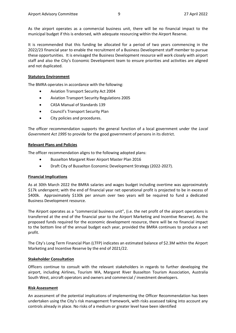As the airport operates as a commercial business unit, there will be no financial impact to the municipal budget if this is endorsed, with adequate resourcing within the Airport Reserve.

It is recommended that this funding be allocated for a period of two years commencing in the 2022/23 financial year to enable the recruitment of a Business Development staff member to pursue these opportunities. It is envisaged the Business Development resource will work closely with airport staff and also the City's Economic Development team to ensure priorities and activities are aligned and not duplicated.

#### **Statutory Environment**

The BMRA operates in accordance with the following:

- Aviation Transport Security Act 2004
- Aviation Transport Security Regulations 2005
- CASA Manual of Standards 139
- Council's Transport Security Plan
- City policies and procedures.

The officer recommendation supports the general function of a local government under the *Local Government Act 1995* to provide for the good government of persons in its district.

#### **Relevant Plans and Policies**

The officer recommendation aligns to the following adopted plans:

- **Busselton Margaret River Airport Master Plan 2016**
- Draft City of Busselton Economic Development Strategy (2022-2027).

### **Financial Implications**

As at 30th March 2022 the BMRA salaries and wages budget including overtime was approximately \$17k underspent; with the end of financial year net operational profit is projected to be in excess of \$400k. Approximately \$130k per annum over two years will be required to fund a dedicated Business Development resource.

The Airport operates as a "commercial business unit", (i.e. the net profit of the airport operations is transferred at the end of the financial year to the Airport Marketing and Incentive Reserve). As the proposed funds required for the economic development resource, there will be no financial impact to the bottom line of the annual budget each year, provided the BMRA continues to produce a net profit.

The City's Long Term Financial Plan (LTFP) indicates an estimated balance of \$2.3M within the Airport Marketing and Incentive Reserve by the end of 2021/22.

### **Stakeholder Consultation**

Officers continue to consult with the relevant stakeholders in regards to further developing the airport, including Airlines, Tourism WA, Margaret River Busselton Tourism Association, Australia South West, aircraft operators and owners and commercial / investment developers.

### **Risk Assessment**

An assessment of the potential implications of implementing the Officer Recommendation has been undertaken using the City's risk management framework, with risks assessed taking into account any controls already in place. No risks of a medium or greater level have been identified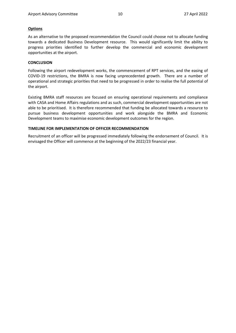### **Options**

As an alternative to the proposed recommendation the Council could choose not to allocate funding towards a dedicated Business Development resource. This would significantly limit the ability to progress priorities identified to further develop the commercial and economic development opportunities at the airport.

### **CONCLUSION**

Following the airport redevelopment works, the commencement of RPT services, and the easing of COVID-19 restrictions, the BMRA is now facing unprecedented growth. There are a number of operational and strategic priorities that need to be progressed in order to realise the full potential of the airport.

Existing BMRA staff resources are focused on ensuring operational requirements and compliance with CASA and Home Affairs regulations and as such, commercial development opportunities are not able to be prioritised. It is therefore recommended that funding be allocated towards a resource to pursue business development opportunities and work alongside the BMRA and Economic Development teams to maximise economic development outcomes for the region.

### **TIMELINE FOR IMPLEMENTATION OF OFFICER RECOMMENDATION**

Recruitment of an officer will be progressed immediately following the endorsement of Council. It is envisaged the Officer will commence at the beginning of the 2022/23 financial year.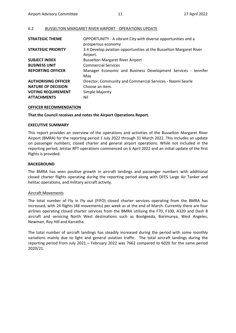# <span id="page-10-0"></span>6.2 BUSSELTON MARGARET RIVER AIRPORT - OPERATIONS UPDATE

| <b>STRATEGIC THEME</b>     | OPPORTUNITY - A vibrant City with diverse opportunities and a<br>prosperous economy |
|----------------------------|-------------------------------------------------------------------------------------|
| <b>STRATEGIC PRIORITY</b>  | 3.4 Develop aviation opportunities at the Busselton Margaret River<br>Airport.      |
| <b>SUBJECT INDEX</b>       | <b>Busselton Margaret River Airport</b>                                             |
| <b>BUSINESS UNIT</b>       | <b>Commercial Services</b>                                                          |
| <b>REPORTING OFFICER</b>   | Manager Economic and Business Development Services - Jennifer<br>May                |
| <b>AUTHORISING OFFICER</b> | Director, Community and Commercial Services - Naomi Searle                          |
| <b>NATURE OF DECISION</b>  | Choose an item.                                                                     |
| <b>VOTING REQUIREMENT</b>  | Simple Majority                                                                     |
| <b>ATTACHMENTS</b>         | Nil                                                                                 |

# **OFFICER RECOMMENDATION**

# **That the Council receives and notes the Airport Operations Report.**

## **EXECUTIVE SUMMARY**

This report provides an overview of the operations and activities of the Busselton Margaret River Airport (BMRA) for the reporting period 1 July 2022 through 31 March 2022. This includes an update on passenger numbers, closed charter and general airport operations. While not included in the reporting period, Jetstar RPT operations commenced on 6 April 2022 and an initial update of the first flights is provided.

## **BACKGROUND**

The BMRA has seen positive growth in aircraft landings and passenger numbers with additional closed charter flights operating during the reporting period along with DFES Large Air Tanker and helitac operations, and military aircraft activity.

### Aircraft Movements

The total number of Fly in Fly out (FIFO) closed charter services operating from the BMRA has increased, with 24 flights (48 movements) per week as at the end of March. Currently there are four airlines operating closed charter services from the BMRA utilising the F70, F100, A320 and Dash 8 aircraft and servicing North West destinations such as Boolgeeda, Barimunya, West Angeles, Newman, Roy Hill and Karratha.

The total number of aircraft landings has steadily increased during the period with some monthly variations mainly due to light and general aviation traffic. The total aircraft landings during the reporting period from July 2021 – February 2022 was 7662 compared to 6020 for the same period 2020/21.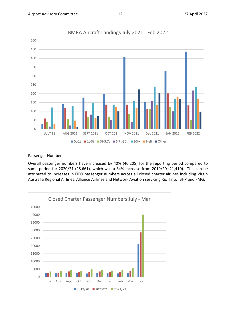

### Passenger Numbers

Overall passenger numbers have increased by 40% (40,205) for the reporting period compared to same period for 2020/21 (28,661), which was a 34% increase from 2019/20 (21,410). This can be attributed to increases in FIFO passenger numbers across all closed charter airlines including Virgin Australia Regional Airlines, Alliance Airlines and Network Aviation servicing Rio Tinto, BHP and FMG.

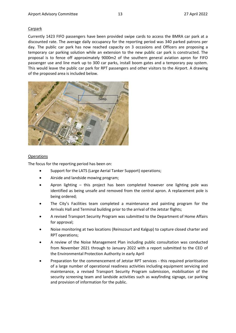### Carpark

Currently 1423 FIFO passengers have been provided swipe cards to access the BMRA car park at a discounted rate. The average daily occupancy for the reporting period was 340 parked patrons per day. The public car park has now reached capacity on 3 occasions and Officers are proposing a temporary car parking solution while an extension to the new public car park is constructed. The proposal is to fence off approximately 9000m2 of the southern general aviation apron for FIFO passenger use and line mark up to 300 car parks, install boom gates and a temporary pay system. This would leave the public car park for RPT passengers and other visitors to the Airport. A drawing of the proposed area is included below.



#### **Operations**

The focus for the reporting period has been on:

- Support for the LATS (Large Aerial Tanker Support) operations;
- Airside and landside mowing program;
- Apron lighting this project has been completed however one lighting pole was identified as being unsafe and removed from the central apron. A replacement pole is being ordered;
- The City's Facilities team completed a maintenance and painting program for the Arrivals Hall and Terminal building prior to the arrival of the Jetstar flights;
- A revised Transport Security Program was submitted to the Department of Home Affairs for approval;
- Noise monitoring at two locations (Reinscourt and Kalgup) to capture closed charter and RPT operations;
- A review of the Noise Management Plan including public consultation was conducted from November 2021 through to January 2022 with a report submitted to the CEO of the Environmental Protection Authority in early April
- Preparation for the commencement of Jetstar RPT services this required prioritisation of a large number of operational readiness activities including equipment servicing and maintenance, a revised Transport Security Program submission, mobilisation of the security screening team and landside activities such as wayfinding signage, car parking and provision of information for the public.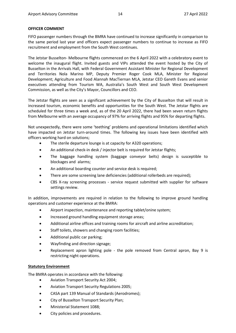### **OFFICER COMMENT**

FIFO passenger numbers through the BMRA have continued to increase significantly in comparison to the same period last year and officers expect passenger numbers to continue to increase as FIFO recruitment and employment from the South West continues.

The Jetstar Busselton- Melbourne flights commenced on the 6 April 2022 with a celebratory event to welcome the inaugural flight. Invited guests and VIPs attended the event hosted by the City of Busselton in the Arrivals Hall, with Federal Government Assistant Minister for Regional Development and Territories Nola Marino MP, Deputy Premier Roger Cook MLA, Minister for Regional Development; Agriculture and Food Alannah MacTiernan MLA, Jetstar CEO Gareth Evans and senior executives attending from Tourism WA, Australia's South West and South West Development Commission, as well as the City's Mayor, Councillors and CEO.

The Jetstar flights are seen as a significant achievement by the City of Busselton that will result in increased tourism, economic benefits and opportunities for the South West. The Jetstar flights are scheduled for three times a week and, as of the 20 April 2022, there had been seven return flights from Melbourne with an average occupancy of 97% for arriving flights and 95% for departing flights.

Not unexpectedly, there were some 'teething' problems and operational limitations identified which have impacted on Jetstar turn-around times. The following key issues have been identified with officers working hard on solutions;

- The sterile departure lounge is at capacity for A320 operations;
- An additional check-in desk / injector belt is required for Jetstar flights;
- The baggage handling system (baggage conveyor belts) design is susceptible to blockages and alarms;
- An additional boarding counter and service desk is required;
- There are some screening lane deficiencies (additional rollerbeds are required);
- CBS X-ray screening processes service request submitted with supplier for software settings review.

In addition, improvements are required in relation to the following to improve ground handling operations and customer experience at the BMRA:

- Airport inspection, maintenance and reporting tablet/onine system;
- Increased ground handling equipment storage areas;
- Additional airline offices and training rooms for aircraft and airline accreditation;
- Staff toilets, showers and changing room facilities;
- Additional public car parking;
- Wayfinding and direction signage;
- Replacement apron lighting pole the pole removed from Central apron, Bay 9 is restricting night operations.

### **Statutory Environment**

The BMRA operates in accordance with the following:

- Aviation Transport Security Act 2004;
- Aviation Transport Security Regulations 2005;
- CASA part 139 Manual of Standards (Aerodromes);
- City of Busselton Transport Security Plan;
- Ministerial Statement 1088;
- City policies and procedures.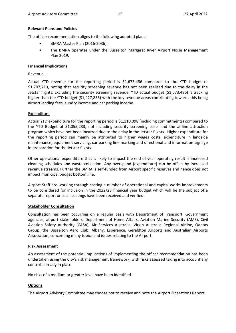### **Relevant Plans and Policies**

The officer recommendation aligns to the following adopted plans:

- BMRA Master Plan (2016-2036).
- The BMRA operates under the Busselton Margaret River Airport Noise Management Plan 2019.

#### **Financial Implications**

#### **Revenue**

Actual YTD revenue for the reporting period is \$1,673,486 compared to the YTD budget of \$1,707,710, noting that security screening revenue has not been realised due to the delay in the Jetstar flights. Excluding the security screening revenue, YTD actual budget (\$1,673,486) is tracking higher than the YTD budget (\$1,427,855) with the key revenue areas contributing towards this being airport landing fees, sundry income and car parking income.

#### **Expenditure**

Actual YTD expenditure for the reporting period is \$1,110,098 (including commitments) compared to the YTD Budget of \$1,055,233, not including security screening costs and the airline attraction program which have not been incurred due to the delay in the Jetstar flights. Higher expenditure for the reporting period can mainly be attributed to higher wages costs, expenditure in landside maintenance, equipment servicing, car parking line marking and directional and information signage in preparation for the Jetstar flights.

Other operational expenditure that is likely to impact the end of year operating result is increased cleaning schedules and waste collection. Any overspend (expenditure) can be offset by increased revenue streams. Further the BMRA is self-funded from Airport specific reserves and hence does not impact municipal budget bottom line.

Airport Staff are working through costing a number of operational and capital works improvements to be considered for inclusion in the 2022/23 financial year budget which will be the subject of a separate report once all costings have been received and verified.

### **Stakeholder Consultation**

Consultation has been occurring on a regular basis with Department of Transport, Government agencies, airport stakeholders, Department of Home Affairs, Aviation Marine Security (AMS), Civil Aviation Safety Authority (CASA), Air Services Australia, Virgin Australia Regional Airline, Qantas Group, the Busselton Aero Club, Albany, Esperance, Geraldton Airports and Australian Airports Association, concerning many topics and issues relating to the Airport.

#### **Risk Assessment**

An assessment of the potential implications of implementing the officer recommendation has been undertaken using the City's risk management framework, with risks assessed taking into account any controls already in place.

No risks of a medium or greater level have been identified.

### **Options**

The Airport Advisory Committee may choose not to receive and note the Airport Operations Report.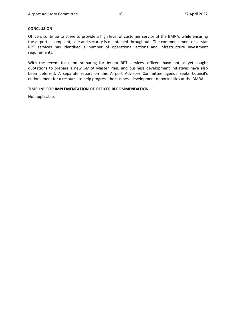#### **CONCLUSION**

Officers continue to strive to provide a high level of customer service at the BMRA, while ensuring the airport is compliant, safe and security is maintained throughout. The commencement of Jetstar RPT services has identified a number of operational actions and infrastructure investment requirements.

With the recent focus on preparing for Jetstar RPT services, officers have not as yet sought quotations to prepare a new BMRA Master Plan, and business development initiatives have also been deferred. A separate report on this Airport Advisory Committee agenda seeks Council's endorsement for a resource to help progress the business development opportunities at the BMRA.

#### **TIMELINE FOR IMPLEMENTATION OF OFFICER RECOMMENDATION**

Not applicable.